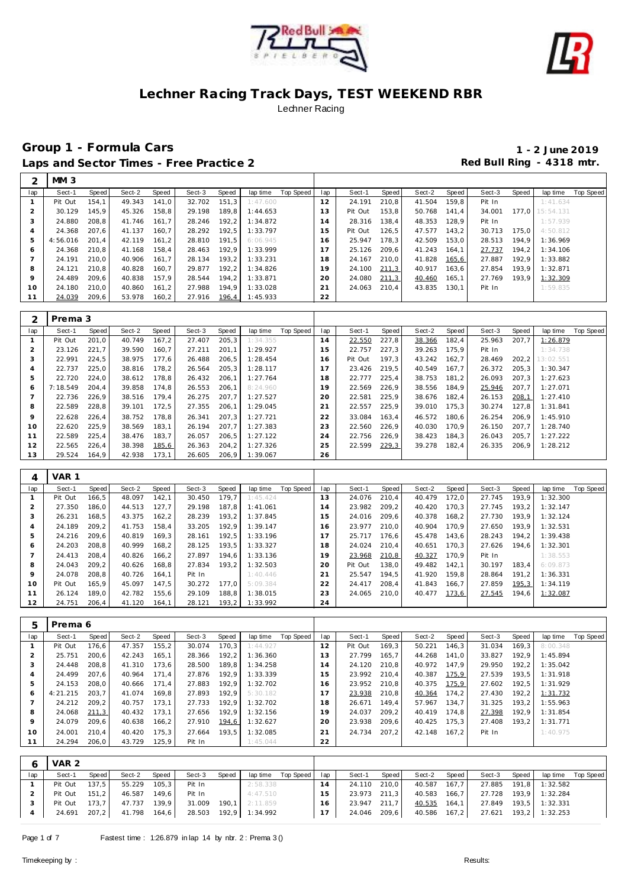



|         | MM <sub>3</sub> |       |        |       |        |       |          |           |             |         |       |        |       |        |       |                 |           |
|---------|-----------------|-------|--------|-------|--------|-------|----------|-----------|-------------|---------|-------|--------|-------|--------|-------|-----------------|-----------|
| lap     | Sect-1          | Speed | Sect-2 | Speed | Sect-3 | Speed | lap time | Top Speed | lap         | Sect-1  | Speed | Sect-2 | Speed | Sect-3 | Speed | lap time        | Top Speed |
|         | Pit Out         | 154.1 | 49.343 | 141.0 | 32.702 | 151.3 | 1:47.600 |           | 12          | 24.191  | 210,8 | 41.504 | 159.8 | Pit In |       | 1:41.634        |           |
|         | 30.129          | 145.9 | 45.326 | 158.8 | 29.198 | 189.8 | 1:44.653 |           | 3           | Pit Out | 153.8 | 50.768 | 141.4 | 34.001 |       | 177.0 15:54.131 |           |
| 3       | 24.880          | 208.8 | 41.746 | 161.7 | 28.246 | 192,2 | 1:34.872 |           | 14          | 28.316  | 138,4 | 48.353 | 128.9 | Pit In |       | 1:57.939        |           |
| 4       | 24.368          | 207.6 | 41.137 | 160.7 | 28.292 | 192.5 | 1:33.797 |           | 15          | Pit Out | 126,5 | 47.577 | 143,2 | 30.713 | 175.0 | 4:50.812        |           |
| 5       | 4:56.016        | 201.4 | 42.119 | 161.2 | 28.810 | 191.5 | 6:06.945 |           | 16          | 25.947  | 178.3 | 42.509 | 153.0 | 28.513 | 194.9 | 1:36.969        |           |
| 6       | 24.368          | 210.8 | 41.168 | 158,4 | 28.463 | 192,9 | 1:33.999 |           |             | 25.126  | 209,6 | 41.243 | 164.1 | 27.737 | 194,2 | 1:34.106        |           |
|         | 24.191          | 210.0 | 40.906 | 161.7 | 28.134 | 193.2 | 1:33.231 |           | 18          | 24.167  | 210.0 | 41.828 | 165,6 | 27.887 | 192.9 | 1:33.882        |           |
| 8       | 24.121          | 210.8 | 40.828 | 160.7 | 29.877 | 192.2 | 1:34.826 |           | 19          | 24.100  | 211,3 | 40.917 | 163,6 | 27.854 | 193,9 | 1:32.871        |           |
| $\circ$ | 24.489          | 209.6 | 40.838 | 157.9 | 28.544 | 194.2 | 1:33.871 |           | 20          | 24.080  | 211,3 | 40.460 | 165.1 | 27.769 | 193.9 | 1:32.309        |           |
| 10      | 24.180          | 210.0 | 40.860 | 161,2 | 27.988 | 194,9 | 1:33.028 |           | $2^{\cdot}$ | 24.063  | 210,4 | 43.835 | 130.1 | Pit In |       | 1:59.835        |           |
| 11      | 24.039          | 209,6 | 53.978 | 160,2 | 27.916 | 196,4 | 1:45.933 |           | 22          |         |       |        |       |        |       |                 |           |

|     | Prema 3  |       |        |       |        |        |          |           |     |         |       |        |       |        |       |           |           |
|-----|----------|-------|--------|-------|--------|--------|----------|-----------|-----|---------|-------|--------|-------|--------|-------|-----------|-----------|
| lap | Sect-1   | Speed | Sect-2 | Speed | Sect-3 | Speed  | lap time | Top Speed | lap | Sect-1  | Speed | Sect-2 | Speed | Sect-3 | Speed | lap time  | Top Speed |
|     | Pit Out  | 201.0 | 40.749 | 167,2 | 27.407 | 205,3  | 1:34.355 |           | 14  | 22.550  | 227,8 | 38.366 | 182,4 | 25.963 | 207,7 | 1:26.879  |           |
|     | 23.126   | 221.7 | 39.590 | 160.7 | 27.211 | 201.1  | 1:29.927 |           | 15  | 22.757  | 227.3 | 39.263 | 175.9 | Pit In |       | 1:34.738  |           |
| 3   | 22.991   | 224.5 | 38.975 | 177.6 | 26.488 | 206, 5 | 1:28.454 |           | 16  | Pit Out | 197.3 | 43.242 | 162.7 | 28.469 | 202.2 | 13:02.551 |           |
| 4   | 22.737   | 225.0 | 38.816 | 178.2 | 26.564 | 205.3  | 1:28.117 |           |     | 23.426  | 219.5 | 40.549 | 167.7 | 26.372 | 205.3 | 1:30.347  |           |
| 5   | 22.720   | 224.0 | 38.612 | 178.8 | 26.432 | 206,1  | 1:27.764 |           | 18  | 22.777  | 225,4 | 38.753 | 181.2 | 26.093 | 207.3 | 1:27.623  |           |
| 6   | 7:18.549 | 204.4 | 39.858 | 174,8 | 26.553 | 206,1  | 8:24.960 |           | 19  | 22.569  | 226,9 | 38.556 | 184.9 | 25.946 | 207,7 | 1:27.071  |           |
|     | 22.736   | 226.9 | 38.516 | 179.4 | 26.275 | 207.7  | 1:27.527 |           | 20  | 22.581  | 225,9 | 38.676 | 182.4 | 26.153 | 208,1 | 1:27.410  |           |
| 8   | 22.589   | 228.8 | 39.101 | 172,5 | 27.355 | 206,1  | 1:29.045 |           | 21  | 22.557  | 225,9 | 39.010 | 175,3 | 30.274 | 127.8 | 1:31.841  |           |
| 9   | 22.628   | 226,4 | 38.752 | 178,8 | 26.341 | 207.3  | 1:27.721 |           | 22  | 33.084  | 163,4 | 46.572 | 180.6 | 26.254 | 206.9 | 1:45.910  |           |
| 10  | 22.620   | 225.9 | 38.569 | 183.1 | 26.194 | 207.7  | 1:27.383 |           | 23  | 22.560  | 226.9 | 40.030 | 170.9 | 26.150 | 207.7 | 1:28.740  |           |
| 11  | 22.589   | 225.4 | 38.476 | 183.7 | 26.057 | 206, 5 | 1:27.122 |           | 24  | 22.756  | 226.9 | 38.423 | 184.3 | 26.043 | 205,7 | 1:27.222  |           |
| 12  | 22.565   | 226,4 | 38.398 | 185,6 | 26.363 | 204, 2 | 1:27.326 |           | 25  | 22.599  | 229,3 | 39.278 | 182,4 | 26.335 | 206,9 | 1:28.212  |           |
| 13  | 29.524   | 164,9 | 42.938 | 173.1 | 26.605 | 206.9  | 1:39.067 |           | 26  |         |       |        |       |        |       |           |           |

| 4       | VAR 1   |       |        |        |        |       |          |           |                |         |       |        |       |        |       |          |           |
|---------|---------|-------|--------|--------|--------|-------|----------|-----------|----------------|---------|-------|--------|-------|--------|-------|----------|-----------|
| lap     | Sect-1  | Speed | Sect-2 | Speed  | Sect-3 | Speed | lap time | Top Speed | lap            | Sect-1  | Speed | Sect-2 | Speed | Sect-3 | Speed | lap time | Top Speed |
|         | Pit Out | 166,5 | 48.097 | 142.1  | 30.450 | 179.7 | 1:45.424 |           | 13             | 24.076  | 210.4 | 40.479 | 172.0 | 27.745 | 193.9 | 1:32.300 |           |
|         | 27.350  | 186,0 | 44.513 | 127.7  | 29.198 | 187.8 | 1:41.061 |           | 14             | 23.982  | 209.2 | 40.420 | 170.3 | 27.745 | 193.2 | 1:32.147 |           |
| 3       | 26.231  | 168,5 | 43.375 | 162, 2 | 28.239 | 193,2 | 1:37.845 |           | 15             | 24.016  | 209.6 | 40.378 | 168,2 | 27.730 | 193,9 | 1:32.124 |           |
| 4       | 24.189  | 209.2 | 41.753 | 158.4  | 33.205 | 192.9 | 1:39.147 |           | 16             | 23.977  | 210.0 | 40.904 | 170.9 | 27.650 | 193.9 | 1:32.531 |           |
| 5       | 24.216  | 209.6 | 40.819 | 169.3  | 28.161 | 192.5 | 1:33.196 |           |                | 25.717  | 176.6 | 45.478 | 143.6 | 28.243 | 194.2 | 1:39.438 |           |
| 6       | 24.203  | 208.8 | 40.999 | 168,2  | 28.125 | 193.5 | 1:33.327 |           | 18             | 24.024  | 210.4 | 40.651 | 170.3 | 27.626 | 194.6 | 1:32.301 |           |
|         | 24.413  | 208.4 | 40.826 | 166,2  | 27.897 | 194.6 | 1:33.136 |           | 19             | 23.968  | 210,8 | 40.327 | 170.9 | Pit In |       | 1:38.553 |           |
| 8       | 24.043  | 209,2 | 40.626 | 168,8  | 27.834 | 193.2 | 1:32.503 |           | 20             | Pit Out | 138.0 | 49.482 | 142.1 | 30.197 | 183,4 | 6:09.873 |           |
| $\circ$ | 24.078  | 208.8 | 40.726 | 164.1  | Pit In |       | 1:40.446 |           | 2 <sub>1</sub> | 25.547  | 194.5 | 41.920 | 159.8 | 28.864 | 191.2 | 1:36.331 |           |
| 10      | Pit Out | 165.9 | 45.097 | 147.5  | 30.272 | 177.0 | 5:09.384 |           | 22             | 24.417  | 208.4 | 41.843 | 166.7 | 27.859 | 195,3 | 1:34.119 |           |
|         | 26.124  | 189.0 | 42.782 | 155,6  | 29.109 | 188.8 | 1:38.015 |           | 23             | 24.065  | 210.0 | 40.477 | 173,6 | 27.545 | 194,6 | 1:32.087 |           |
| 12      | 24.751  | 206,4 | 41.120 | 164,1  | 28.121 | 193.2 | 1:33.992 |           | 24             |         |       |        |       |        |       |          |           |

| 5              | Prema 6  |       |        |       |        |       |          |           |                |         |       |        |       |        |       |          |           |
|----------------|----------|-------|--------|-------|--------|-------|----------|-----------|----------------|---------|-------|--------|-------|--------|-------|----------|-----------|
| lap            | Sect-1   | Speed | Sect-2 | Speed | Sect-3 | Speed | lap time | Top Speed | lap            | Sect-1  | Speed | Sect-2 | Speed | Sect-3 | Speed | lap time | Top Speed |
|                | Pit Out  | 176.6 | 47.357 | 155,2 | 30.074 | 170.3 | 1:44.927 |           | 12             | Pit Out | 169.3 | 50.221 | 146.3 | 31.034 | 169.3 | 8:00.348 |           |
| $\overline{2}$ | 25.751   | 200,6 | 42.243 | 165,1 | 28.366 | 192,2 | 1:36.360 |           | 13             | 27.799  | 165.7 | 44.268 | 141.0 | 33.827 | 192,9 | 1:45.894 |           |
| 3              | 24.448   | 208.8 | 41.310 | 173.6 | 28.500 | 189.8 | 1:34.258 |           | $\overline{4}$ | 24.120  | 210.8 | 40.972 | 147.9 | 29.950 | 192,2 | 1:35.042 |           |
| 4              | 24.499   | 207.6 | 40.964 | 171.4 | 27.876 | 192.9 | 1:33.339 |           | 5              | 23.992  | 210.4 | 40.387 | 175,9 | 27.539 | 193.5 | 1:31.918 |           |
| 5              | 24.153   | 208.0 | 40.666 | 171,4 | 27.883 | 192.9 | 1:32.702 |           | 6              | 23.952  | 210,8 | 40.375 | 175,9 | 27.602 | 192,5 | 1:31.929 |           |
| O              | 4:21.215 | 203.7 | 41.074 | 169.8 | 27.893 | 192.9 | 5:30.182 |           |                | 23.938  | 210,8 | 40.364 | 174,2 | 27.430 | 192,2 | 1:31.732 |           |
|                | 24.212   | 209,2 | 40.757 | 173.1 | 27.733 | 192.9 | 1:32.702 |           | 18             | 26.671  | 149.4 | 57.967 | 134.7 | 31.325 | 193.2 | 1:55.963 |           |
| 8              | 24.068   | 211,3 | 40.432 | 173,1 | 27.656 | 192,9 | 1:32.156 |           | 19             | 24.037  | 209,2 | 40.419 | 174,8 | 27.398 | 192,9 | 1:31.854 |           |
| $\circ$        | 24.079   | 209,6 | 40.638 | 166,2 | 27.910 | 194,6 | 1:32.627 |           | 20             | 23.938  | 209,6 | 40.425 | 175,3 | 27.408 | 193,2 | 1:31.771 |           |
| 10             | 24.001   | 210.4 | 40.420 | 175,3 | 27.664 | 193.5 | 1:32.085 |           | 21             | 24.734  | 207.2 | 42.148 | 167.2 | Pit In |       | 1:40.975 |           |
|                | 24.294   | 206,0 | 43.729 | 125,9 | Pit In |       | 1:45.044 |           | 22             |         |       |        |       |        |       |          |           |

|     | VAR 2   |           |        |       |                                        |       |                |                    |      |              |       |              |       |                       |       |                       |           |
|-----|---------|-----------|--------|-------|----------------------------------------|-------|----------------|--------------------|------|--------------|-------|--------------|-------|-----------------------|-------|-----------------------|-----------|
| lap | Sect-1  | Speed     | Sect-2 | Speed | Sect-3                                 | Speed |                | lap time Top Speed | lap  | Sect-1       | Speed | Sect-2       | Speed | Sect-3                | Speed | lap time              | Top Speed |
|     | Pit Out | 137,5     | 55.229 | 105,3 | Pit In                                 |       | 2:58.338       |                    | 14   | 24.110 210,0 |       | 40.587       | 167,7 |                       |       | 27.885 191,8 1:32.582 |           |
|     | Pit Out | $151.2$ J | 46.587 | 149.6 | Pit In                                 |       | 4:47.510       |                    | 15   | 23.973 211.3 |       | 40.583 166,7 |       |                       |       | 27.728 193,9 1:32.284 |           |
|     | Pit Out | 173.7     | 47.737 | 139,9 | 31.009                                 |       | 190.1 2:11.859 |                    | 16   | 23.947 211.7 |       | 40.535 164,1 |       |                       |       | 27.849 193,5 1:32.331 |           |
|     | 24.691  | 207,2     |        |       | 41.798  164,6  28.503  192,9  1:34.992 |       |                |                    | 17 I | 24.046 209,6 |       | 40.586 167,2 |       | 27.621 193.2 1:32.253 |       |                       |           |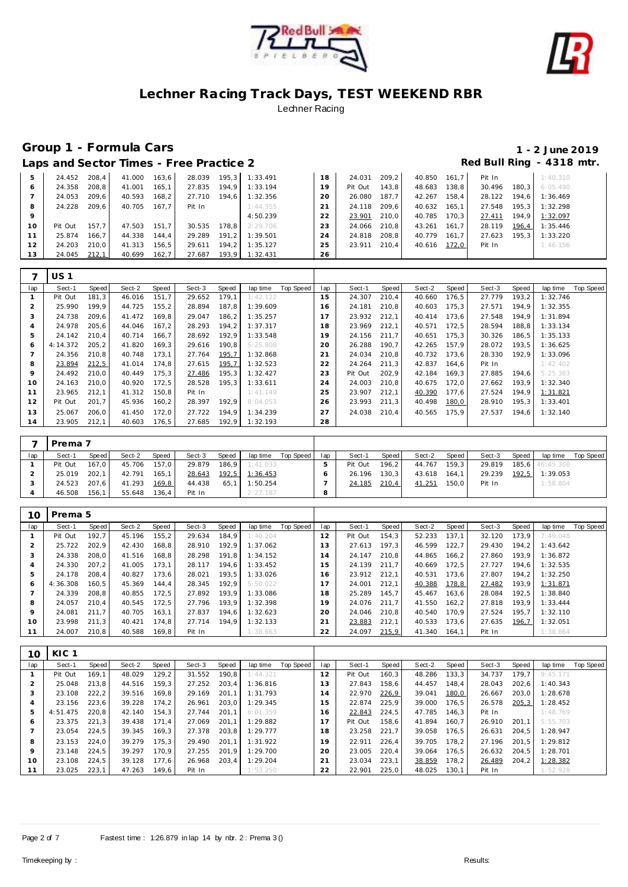



# **Group 1 - Formula Cars 1 - 2 June 2019**

# Red Bull Ring - 4318 mtr.

|  |  | Laps and Sector Times - Free Practice 2 |  |
|--|--|-----------------------------------------|--|

|         | 24.452  | 208.4 | 41.000 | 163.6 | 28.039 | 195.3 | 1:33.491  | 18 | 24.031  | 209.2 | 40.850 | 161.7 | Pit In |       | 1:40.310 |
|---------|---------|-------|--------|-------|--------|-------|-----------|----|---------|-------|--------|-------|--------|-------|----------|
| $\circ$ | 24.358  | 208.8 | 41.001 | 165.1 | 27.835 | 194.9 | I: 33.194 | 19 | Pit Out | 143.8 | 48.683 | 138.8 | 30.496 | 180.3 | 6:05.490 |
|         | 24.053  | 209.6 | 40.593 | 168.2 | 27.710 | 194.6 | 1:32.356  | 20 | 26.080  | 187.7 | 42.267 | 158.4 | 28.122 | 194.6 | 1:36.469 |
| -8      | 24.228  | 209.6 | 40.705 | 167.7 | Pit In |       | 1:44.355  |    | 24.118  | 209.6 | 40.632 | 165.1 | 27.548 | 195.3 | 1:32.298 |
| 9       |         |       |        |       |        |       | 4:50.239  | 22 | 23.901  | 210.0 | 40.785 | 170.3 | 27.411 | 194.9 | 1:32.097 |
| 10      | Pit Out | 157.7 | 47.503 | 151.7 | 30.535 | 178.8 | 2:29.706  | 23 | 24.066  | 210.8 | 43.261 | 161.7 | 28.119 | 196,4 | 1:35.446 |
|         | 25.874  | 166.7 | 44.338 | 144.4 | 29.289 | 191.2 | 1:39.501  | 24 | 24.818  | 208.8 | 40.779 | 161.7 | 27.623 | 195.3 | 1:33.220 |
|         | 24.203  | 210.0 | 41.313 | 156.5 | 29.611 | 194.2 | 1:35.127  | 25 | 23.911  | 210.4 | 40.616 | 172.0 | Pit In |       | 1:46.156 |
| 13      | 24.045  | 212,1 | 40.699 | 162.7 | 27.687 | 193.9 | 1:32.431  | 26 |         |       |        |       |        |       |          |

|     | US <sub>1</sub> |        |        |       |        |       |          |           |     |         |       |        |       |        |       |          |           |
|-----|-----------------|--------|--------|-------|--------|-------|----------|-----------|-----|---------|-------|--------|-------|--------|-------|----------|-----------|
| lap | Sect-1          | Speed  | Sect-2 | Speed | Sect-3 | Speed | lap time | Top Speed | lap | Sect-1  | Speed | Sect-2 | Speed | Sect-3 | Speed | lap time | Top Speed |
|     | Pit Out         | 181,3  | 46.016 | 151,7 | 29.652 | 179.1 | 1:42.122 |           | 15  | 24.307  | 210,4 | 40.660 | 176,5 | 27.779 | 193,2 | 1:32.746 |           |
| 2   | 25.990          | 199,9  | 44.725 | 155,2 | 28.894 | 187,8 | 1:39.609 |           | 16  | 24.181  | 210,8 | 40.603 | 175,3 | 27.571 | 194,9 | 1:32.355 |           |
| 3   | 24.738          | 209.6  | 41.472 | 169.8 | 29.047 | 186.2 | 1:35.257 |           |     | 23.932  | 212.1 | 40.414 | 173.6 | 27.548 | 194.9 | 1:31.894 |           |
| 4   | 24.978          | 205,6  | 44.046 | 167,2 | 28.293 | 194,2 | 1:37.317 |           | 18  | 23.969  | 212,1 | 40.571 | 172,5 | 28.594 | 188,8 | 1:33.134 |           |
| 5   | 24.142          | 210,4  | 40.714 | 166,7 | 28.692 | 192,9 | 1:33.548 |           | 19  | 24.156  | 211,7 | 40.651 | 175,3 | 30.326 | 186,5 | 1:35.133 |           |
| 6   | 4:14.372        | 205, 2 | 41.820 | 169,3 | 29.616 | 190.8 | 5:25.808 |           | 20  | 26.288  | 190,7 | 42.265 | 157.9 | 28.072 | 193,5 | 1:36.625 |           |
|     | 24.356          | 210.8  | 40.748 | 173,1 | 27.764 | 195,7 | 1:32.868 |           | 21  | 24.034  | 210,8 | 40.732 | 173,6 | 28.330 | 192,9 | 1:33.096 |           |
| 8   | 23.894          | 212,5  | 41.014 | 174,8 | 27.615 | 195,7 | 1:32.523 |           | 22  | 24.264  | 211,3 | 42.837 | 164,6 | Pit In |       | 1:42.402 |           |
| 9   | 24.492          | 210,0  | 40.449 | 175,3 | 27.486 | 195,3 | 1:32.427 |           | 23  | Pit Out | 202,9 | 42.184 | 169,3 | 27.885 | 194,6 | 5:25.383 |           |
| 10  | 24.163          | 210.0  | 40.920 | 172,5 | 28.528 | 195,3 | 1:33.611 |           | 24  | 24.003  | 210,8 | 40.675 | 172,0 | 27.662 | 193,9 | 1:32.340 |           |
| 11  | 23.965          | 212.1  | 41.312 | 150.8 | Pit In |       | 1:41.149 |           | 25  | 23.907  | 212.1 | 40.390 | 177,6 | 27.524 | 194,9 | 1:31.821 |           |
| 12  | Pit Out         | 201.7  | 45.936 | 160,2 | 28.397 | 192,9 | 8:04.053 |           | 26  | 23.993  | 211,3 | 40.498 | 180,0 | 28.910 | 195,3 | 1:33.401 |           |
| 13  | 25.067          | 206,0  | 41.450 | 172,0 | 27.722 | 194.9 | 1:34.239 |           | 27  | 24.038  | 210,4 | 40.565 | 175.9 | 27.537 | 194,6 | 1:32.140 |           |
| 14  | 23.905          | 212,1  | 40.603 | 176,5 | 27.685 | 192,9 | 1:32.193 |           | 28  |         |       |        |       |        |       |          |           |

|     | Prema 7 |       |        |       |        |       |          |           |     |         |       |        |       |        |       |                 |           |
|-----|---------|-------|--------|-------|--------|-------|----------|-----------|-----|---------|-------|--------|-------|--------|-------|-----------------|-----------|
| lap | Sect-1  | Speed | Sect-2 | Speed | Sect-3 | Speed | lap time | Top Speed | lap | Sect-1  | Speed | Sect-2 | Speed | Sect-3 | Speed | lap time        | Top Speed |
|     | Pit Out | 167.0 | 45.706 | 157.0 | 29.879 | 186.9 | 1:41.033 |           |     | Pit Out | 196.2 | 44.767 | 159.3 | 29.819 |       | 185.6 46:45.308 |           |
|     | 25.019  | 202.1 | 42.791 | 165.1 | 28.643 | 192,5 | 1:36.453 |           |     | 26.196  | 130.3 | 43.618 | 164.1 | 29.239 | 192,5 | 1:39.053        |           |
|     | 24.523  | 207.6 | 41.293 | 169,8 | 44.438 | 65.1  | 1:50.254 |           |     | 24.185  | 210,4 | 41.251 | 150.0 | Pit In |       | 1:58.804        |           |
|     | 46.508  | 156.1 | 55.648 | 136.4 | Pit In |       | 2:27.187 |           |     |         |       |        |       |        |       |                 |           |

| 10  | Prema 5  |       |        |       |        |       |          |           |                |         |       |        |        |        |       |          |           |
|-----|----------|-------|--------|-------|--------|-------|----------|-----------|----------------|---------|-------|--------|--------|--------|-------|----------|-----------|
| lap | Sect-1   | Speed | Sect-2 | Speed | Sect-3 | Speed | lap time | Top Speed | lap            | Sect-1  | Speed | Sect-2 | Speed  | Sect-3 | Speed | lap time | Top Speed |
|     | Pit Out  | 192.7 | 45.196 | 155.2 | 29.634 | 184.9 | 1:40.204 |           | 12             | Pit Out | 154.3 | 52.233 | 137.1  | 32.120 | 173.9 | 7:49.048 |           |
|     | 25.722   | 202.9 | 42.430 | 168,8 | 28.910 | 192.9 | 1:37.062 |           | 13             | 27.613  | 197.3 | 46.599 | 122.7  | 29.430 | 194.2 | 1:43.642 |           |
| 3   | 24.338   | 208.0 | 41.516 | 168,8 | 28.298 | 191.8 | 1:34.152 |           | l 4            | 24.147  | 210.8 | 44.865 | 166,2  | 27.860 | 193.9 | 1:36.872 |           |
| 4   | 24.330   | 207.2 | 41.005 | 173.1 | 28.117 | 194.6 | 1:33.452 |           | 5              | 24.139  | 211.7 | 40.669 | 172.5  | 27.727 | 194.6 | 1:32.535 |           |
| 5   | 24.178   | 208.4 | 40.827 | 173.6 | 28.021 | 193.5 | 1:33.026 |           | 16             | 23.912  | 212.1 | 40.531 | 173.6  | 27.807 | 194.2 | 1:32.250 |           |
| O   | 4:36.308 | 160.5 | 45.369 | 144.4 | 28.345 | 192.9 | 5:50.022 |           | $\overline{7}$ | 24.001  | 212.1 | 40.388 | 178,8  | 27.482 | 193,9 | 1:31.871 |           |
|     | 24.339   | 208.8 | 40.855 | 172,5 | 27.892 | 193.9 | 1:33.086 |           | 18             | 25.289  | 145.7 | 45.467 | 163,6  | 28.084 | 192,5 | 1:38.840 |           |
| 8   | 24.057   | 210.4 | 40.545 | 172,5 | 27.796 | 193.9 | 1:32.398 |           | 19             | 24.076  | 211.7 | 41.550 | 162, 2 | 27.818 | 193.9 | 1:33.444 |           |
| 9   | 24.081   | 211.7 | 40.705 | 163,1 | 27.837 | 194.6 | 1:32.623 |           | 20             | 24.046  | 210.8 | 40.540 | 170.9  | 27.524 | 195.7 | 1:32.110 |           |
| 10  | 23.998   | 211,3 | 40.421 | 174,8 | 27.714 | 194.9 | 1:32.133 |           | 21             | 23.883  | 212,1 | 40.533 | 173,6  | 27.635 | 196,7 | 1:32.051 |           |
|     | 24.007   | 210.8 | 40.588 | 169.8 | Pit In |       | 1:38.663 |           | 22             | 24.097  | 215,9 | 41.340 | 164.1  | Pit In |       | 1:38.864 |           |

| 10         | KIC <sub>1</sub> |       |        |       |        |       |          |                  |     |         |       |        |       |        |        |          |                  |
|------------|------------------|-------|--------|-------|--------|-------|----------|------------------|-----|---------|-------|--------|-------|--------|--------|----------|------------------|
| lap        | Sect-1           | Speed | Sect-2 | Speed | Sect-3 | Speed | lap time | <b>Top Speed</b> | lap | Sect-1  | Speed | Sect-2 | Speed | Sect-3 | Speed  | lap time | <b>Top Speed</b> |
|            | Pit Out          | 169.1 | 48.029 | 129,2 | 31.552 | 190.8 | 1:44.321 |                  | 12  | Pit Out | 160,3 | 48.286 | 133.3 | 34.737 | 179.7  | 9:45.171 |                  |
|            | 25.048           | 213.8 | 44.516 | 159.3 | 27.252 | 203.4 | 1:36.816 |                  | 13  | 27.843  | 158.6 | 44.457 | 148.4 | 28.043 | 202,6  | 1:40.343 |                  |
| $\sqrt{2}$ | 23.108           | 222,2 | 39.516 | 169.8 | 29.169 | 201.1 | 1:31.793 |                  | 14  | 22.970  | 226,9 | 39.041 | 180,0 | 26.667 | 203.0  | 1:28.678 |                  |
|            | 23.156           | 223,6 | 39.228 | 174,2 | 26.961 | 203,0 | 1:29.345 |                  | 15  | 22.874  | 225,9 | 39.000 | 176.5 | 26.578 | 205, 3 | 1:28.452 |                  |
| 5          | 4:51.475         | 220.8 | 42.140 | 154.3 | 27.744 | 201.1 | 6:01.359 |                  | 16  | 22.843  | 224,5 | 47.785 | 146.3 | Pit In |        | 1:48.769 |                  |
| 6          | 23.375           | 221.3 | 39.438 | 171.4 | 27.069 | 201.1 | 1:29.882 |                  | 17  | Pit Out | 158.6 | 41.894 | 160.7 | 26.910 | 201.1  | 5:55.703 |                  |
|            | 23.054           | 224.5 | 39.345 | 169.3 | 27.378 | 203,8 | 1:29.777 |                  | 18  | 23.258  | 221.7 | 39.058 | 176.5 | 26.631 | 204,5  | 1:28.947 |                  |
| 8          | 23.153           | 224.0 | 39.279 | 175.3 | 29.490 | 201.1 | 1:31.922 |                  | 19  | 22.911  | 226.4 | 39.705 | 178.2 | 27.196 | 201.5  | 1:29.812 |                  |
| $\circ$    | 23.148           | 224.5 | 39.297 | 170.9 | 27.255 | 201.9 | 1:29.700 |                  | 20  | 23.005  | 220,4 | 39.064 | 176.5 | 26.632 | 204,5  | 1:28.701 |                  |
| 10         | 23.108           | 224.5 | 39.128 | 177.6 | 26.968 | 203.4 | 1:29.204 |                  | 21  | 23.034  | 223.1 | 38.859 | 178.2 | 26.489 | 204,2  | 1:28.382 |                  |
|            | 23.025           | 223,1 | 47.263 | 149,6 | Pit In |       | 1:53.250 |                  | 22  | 22.901  | 225,0 | 48.025 | 130.1 | Pit In |        | 1:52.928 |                  |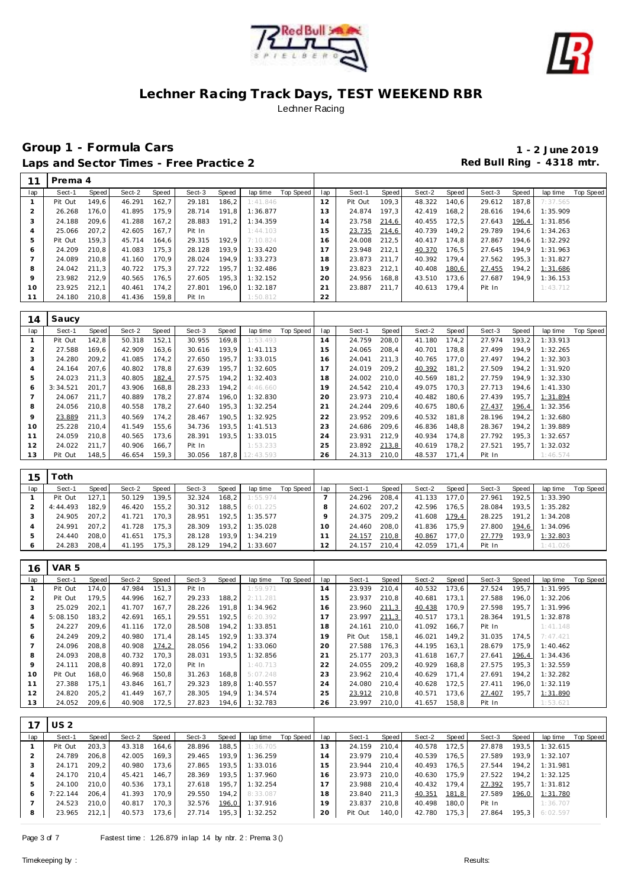



|     | Prema 4 |       |        |       |        |       |          |           |                |         |       |        |       |        |       |          |           |
|-----|---------|-------|--------|-------|--------|-------|----------|-----------|----------------|---------|-------|--------|-------|--------|-------|----------|-----------|
| lap | Sect-1  | Speed | Sect-2 | Speed | Sect-3 | Speed | lap time | Top Speed | lap            | Sect-1  | Speed | Sect-2 | Speed | Sect-3 | Speed | lap time | Top Speed |
|     | Pit Out | 149,6 | 46.291 | 162.7 | 29.181 | 186.2 | 1:41.846 |           | 12             | Pit Out | 109,3 | 48.322 | 140.6 | 29.612 | 187.8 | 7:37.565 |           |
|     | 26.268  | 176,0 | 41.895 | 175.9 | 28.714 | 191.8 | 1:36.877 |           | 3              | 24.874  | 197.3 | 42.419 | 168,2 | 28.616 | 194,6 | 1:35.909 |           |
| 3   | 24.188  | 209.6 | 41.288 | 167.2 | 28.883 | 191.2 | 1:34.359 |           | $\overline{4}$ | 23.758  | 214,6 | 40.455 | 172.5 | 27.643 | 196,4 | 1:31.856 |           |
|     | 25.066  | 207,2 | 42.605 | 167.7 | Pit In |       | 1:44.103 |           | 5              | 23.735  | 214,6 | 40.739 | 149.2 | 29.789 | 194,6 | 1:34.263 |           |
| 5   | Pit Out | 159,3 | 45.714 | 164.6 | 29.315 | 192.9 | 7:10.824 |           | 6              | 24.008  | 212,5 | 40.417 | 174.8 | 27.867 | 194,6 | 1:32.292 |           |
| 6   | 24.209  | 210.8 | 41.083 | 175.3 | 28.128 | 193.9 | 1:33.420 |           | $\overline{7}$ | 23.948  | 212.1 | 40.370 | 176.5 | 27.645 | 194.9 | 1:31.963 |           |
|     | 24.089  | 210.8 | 41.160 | 170.9 | 28.024 | 194.9 | 1:33.273 |           | 18             | 23.873  | 211.7 | 40.392 | 179.4 | 27.562 | 195,3 | 1:31.827 |           |
| 8   | 24.042  | 211,3 | 40.722 | 175,3 | 27.722 | 195.7 | 1:32.486 |           | 19             | 23.823  | 212.1 | 40.408 | 180,6 | 27.455 | 194,2 | 1:31.686 |           |
| 9   | 23.982  | 212.9 | 40.565 | 176.5 | 27.605 | 195.3 | 1:32.152 |           | 20             | 24.956  | 168.8 | 43.510 | 173.6 | 27.687 | 194.9 | 1:36.153 |           |
| 10  | 23.925  | 212.1 | 40.461 | 174.2 | 27.801 | 196.0 | 1:32.187 |           | 21             | 23.887  | 211.7 | 40.613 | 179.4 | Pit In |       | 1:43.712 |           |
|     | 24.180  | 210,8 | 41.436 | 159,8 | Pit In |       | 1:50.812 |           | 22             |         |       |        |       |        |       |          |           |

| 14  | Saucy    |       |        |       |        |       |                 |           |     |        |       |        |       |        |       |          |                  |
|-----|----------|-------|--------|-------|--------|-------|-----------------|-----------|-----|--------|-------|--------|-------|--------|-------|----------|------------------|
| lap | Sect-1   | Speed | Sect-2 | Speed | Sect-3 | Speed | lap time        | Top Speed | lap | Sect-1 | Speed | Sect-2 | Speed | Sect-3 | Speed | lap time | <b>Top Speed</b> |
|     | Pit Out  | 142,8 | 50.318 | 152,1 | 30.955 | 169,8 | 1:53.493        |           | 14  | 24.759 | 208,0 | 41.180 | 174,2 | 27.974 | 193,2 | 1:33.913 |                  |
|     | 27.588   | 169,6 | 42.909 | 163,6 | 30.616 | 193,9 | 1:41.113        |           | 15  | 24.065 | 208,4 | 40.701 | 178,8 | 27.499 | 194.9 | 1:32.265 |                  |
| 3   | 24.280   | 209.2 | 41.085 | 174,2 | 27.650 | 195,7 | 1:33.015        |           | 16  | 24.041 | 211,3 | 40.765 | 177,0 | 27.497 | 194.2 | 1:32.303 |                  |
| 4   | 24.164   | 207.6 | 40.802 | 178.8 | 27.639 | 195.7 | 1:32.605        |           |     | 24.019 | 209,2 | 40.392 | 181,2 | 27.509 | 194.2 | 1:31.920 |                  |
| 5   | 24.023   | 211.3 | 40.805 | 182,4 | 27.575 | 194.2 | 1:32.403        |           | 18  | 24.002 | 210,0 | 40.569 | 181,2 | 27.759 | 194.9 | 1:32.330 |                  |
| 6   | 3:34.521 | 201.7 | 43.906 | 168,8 | 28.233 | 194,2 | 4:46.660        |           | 19  | 24.542 | 210,4 | 49.075 | 170.3 | 27.713 | 194.6 | 1:41.330 |                  |
|     | 24.067   | 211.7 | 40.889 | 178,2 | 27.874 | 196.0 | 1:32.830        |           | 20  | 23.973 | 210,4 | 40.482 | 180,6 | 27.439 | 195,7 | 1:31.894 |                  |
| 8   | 24.056   | 210,8 | 40.558 | 178,2 | 27.640 | 195,3 | 1:32.254        |           | 21  | 24.244 | 209,6 | 40.675 | 180,6 | 27.437 | 196,4 | 1:32.356 |                  |
| 9   | 23.889   | 211.3 | 40.569 | 174.2 | 28.467 | 190.5 | 1:32.925        |           | 22  | 23.952 | 209.6 | 40.532 | 181.8 | 28.196 | 194.2 | 1:32.680 |                  |
| 10  | 25.228   | 210.4 | 41.549 | 155,6 | 34.736 | 193.5 | 1:41.513        |           | 23  | 24.686 | 209,6 | 46.836 | 148,8 | 28.367 | 194.2 | 1:39.889 |                  |
| 11  | 24.059   | 210.8 | 40.565 | 173.6 | 28.391 | 193.5 | 1:33.015        |           | 24  | 23.931 | 212,9 | 40.934 | 174,8 | 27.792 | 195,3 | 1:32.657 |                  |
| 12  | 24.022   | 211.7 | 40.906 | 166,7 | Pit In |       | 1:53.233        |           | 25  | 23.892 | 213,8 | 40.619 | 178,2 | 27.521 | 195.7 | 1:32.032 |                  |
| 13  | Pit Out  | 148,5 | 46.654 | 159,3 | 30.056 |       | 187,8 12:43.593 |           | 26  | 24.313 | 210,0 | 48.537 | 171,4 | Pit In |       | 1:46.574 |                  |
|     |          |       |        |       |        |       |                 |           |     |        |       |        |       |        |       |          |                  |

| 15  | oth:     |       |        |        |        |       |          |           |     |        |       |        |         |        |       |          |           |
|-----|----------|-------|--------|--------|--------|-------|----------|-----------|-----|--------|-------|--------|---------|--------|-------|----------|-----------|
| lap | Sect-1   | Speed | Sect-2 | Speed  | Sect-3 | Speed | lap time | Top Speed | lap | Sect-1 | Speed | Sect-2 | Speed I | Sect-3 | Speed | lap time | Top Speed |
|     | Pit Out  | 127.1 | 50.129 | 139,5  | 32.324 | 168.2 | 1:55.974 |           |     | 24.296 | 208.4 | 41.133 | 177.0   | 27.961 | 192.5 | 1:33.390 |           |
|     | 4:44.493 | 182.9 | 46.420 | 155, 2 | 30.312 | 188.5 | 6:01.225 |           |     | 24.602 | 207.2 | 42.596 | 176.5   | 28.084 | 193.5 | 1:35.282 |           |
|     | 24.905   | 207.2 | 41.721 | 170.3  | 28.951 | 192.5 | 1:35.577 |           |     | 24.375 | 209.2 | 41.608 | 179,4   | 28.225 | 191.2 | 1:34.208 |           |
|     | 24.991   | 207.2 | 41.728 | 175,3  | 28.309 | 193.2 | 1:35.028 |           | I O | 24.460 | 208.0 | 41.836 | 175.9   | 27.800 | 194.6 | 1:34.096 |           |
|     | 24.440   | 208.0 | 41.651 | 175.3  | 28.128 | 193.9 | 1:34.219 |           |     | 24.157 | 210,8 | 40.867 | 177.0   | 27.779 | 193.9 | 1:32.803 |           |
|     | 24.283   | 208,4 | 41.195 | 175,3  | 28.129 | 194.2 | 1:33.607 |           |     | 24.157 | 210,4 | 42.059 | 171.4   | Pit In |       | 1:41.026 |           |

| 16  | VAR 5    |       |        |       |        |       |          |           |     |         |       |        |       |        |       |          |           |
|-----|----------|-------|--------|-------|--------|-------|----------|-----------|-----|---------|-------|--------|-------|--------|-------|----------|-----------|
| lap | Sect-1   | Speed | Sect-2 | Speed | Sect-3 | Speed | lap time | Top Speed | lap | Sect-1  | Speed | Sect-2 | Speed | Sect-3 | Speed | lap time | Top Speed |
|     | Pit Out  | 174.0 | 47.984 | 151.3 | Pit In |       | 1:59.971 |           | 14  | 23.939  | 210,4 | 40.532 | 173.6 | 27.524 | 195,7 | 1:31.995 |           |
|     | Pit Out  | 179.5 | 44.996 | 162.7 | 29.233 | 188,2 | 2:11.281 |           | 15  | 23.937  | 210.8 | 40.681 | 173.1 | 27.588 | 196.0 | 1:32.206 |           |
| 3   | 25.029   | 202.1 | 41.707 | 167.7 | 28.226 | 191.8 | 1:34.962 |           | 16  | 23.960  | 211,3 | 40.438 | 170.9 | 27.598 | 195.7 | 1:31.996 |           |
| 4   | 5:08.150 | 183.2 | 42.691 | 165,1 | 29.551 | 192.5 | 6:20.392 |           | 17  | 23.997  | 211,3 | 40.517 | 173.1 | 28.364 | 191,5 | 1:32.878 |           |
|     | 24.227   | 209,6 | 41.116 | 172,0 | 28.508 | 194,2 | 1:33.851 |           | 18  | 24.161  | 210,0 | 41.092 | 166,7 | Pit In |       | 1:41.148 |           |
| 6   | 24.249   | 209.2 | 40.980 | 171.4 | 28.145 | 192.9 | 1:33.374 |           | 19  | Pit Out | 158.1 | 46.021 | 149.2 | 31.035 | 174.5 | 7:47.421 |           |
|     | 24.096   | 208.8 | 40.908 | 174,2 | 28.056 | 194,2 | 1:33.060 |           | 20  | 27.588  | 176,3 | 44.195 | 163.1 | 28.679 | 175.9 | 1:40.462 |           |
| 8   | 24.093   | 208.8 | 40.732 | 170.3 | 28.031 | 193.5 | 1:32.856 |           | 21  | 25.177  | 203.3 | 41.618 | 167.7 | 27.641 | 196,4 | 1:34.436 |           |
| 9   | 24.111   | 208,8 | 40.891 | 172,0 | Pit In |       | 1:40.713 |           | 22  | 24.055  | 209,2 | 40.929 | 168,8 | 27.575 | 195,3 | 1:32.559 |           |
| 10  | Pit Out  | 168.0 | 46.968 | 150.8 | 31.263 | 168,8 | 5:07.248 |           | 23  | 23.962  | 210,4 | 40.629 | 171.4 | 27.691 | 194,2 | 1:32.282 |           |
| 11  | 27.388   | 175.1 | 43.846 | 161.7 | 29.323 | 189.8 | 1:40.557 |           | 24  | 24.080  | 210.4 | 40.628 | 172,5 | 27.411 | 196,0 | 1:32.119 |           |
| 12  | 24.820   | 205.2 | 41.449 | 167.7 | 28.305 | 194.9 | 1:34.574 |           | 25  | 23.912  | 210.8 | 40.571 | 173.6 | 27.407 | 195.7 | 1:31.890 |           |
| 13  | 24.052   | 209,6 | 40.908 | 172,5 | 27.823 | 194.6 | 1:32.783 |           | 26  | 23.997  | 210.0 | 41.657 | 158,8 | Pit In |       | 1:53.621 |           |

|     | US <sub>2</sub> |       |        |       |        |       |          |           |     |         |       |        |       |        |       |          |           |
|-----|-----------------|-------|--------|-------|--------|-------|----------|-----------|-----|---------|-------|--------|-------|--------|-------|----------|-----------|
| lap | Sect-1          | Speed | Sect-2 | Speed | Sect-3 | Speed | lap time | Top Speed | lap | Sect-1  | Speed | Sect-2 | Speed | Sect-3 | Speed | lap time | Top Speed |
|     | Pit Out         | 203.3 | 43.318 | 164,6 | 28.896 | 188,5 | 1:36.705 |           | 13  | 24.159  | 210.4 | 40.578 | 172.5 | 27.878 | 193.5 | 1:32.615 |           |
|     | 24.789          | 206.8 | 42.005 | 169.3 | 29.465 | 193.9 | 1:36.259 |           | 14  | 23.979  | 210.4 | 40.539 | 176.5 | 27.589 | 193.9 | 1:32.107 |           |
|     | 24.171          | 209.2 | 40.980 | 173.6 | 27.865 | 193.5 | 1:33.016 |           | 15  | 23.944  | 210.4 | 40.493 | 176.5 | 27.544 | 194.2 | 1:31.981 |           |
|     | 24.170          | 210.4 | 45.421 | 146.7 | 28.369 | 193.5 | 1:37.960 |           | 16  | 23.973  | 210.0 | 40.630 | 175.9 | 27.522 | 194.2 | 1:32.125 |           |
| 5   | 24.100          | 210.0 | 40.536 | 173.1 | 27.618 | 195.7 | 1:32.254 |           |     | 23.988  | 210.4 | 40.432 | 179.4 | 27.392 | 195.7 | 1:31.812 |           |
|     | 7:22.144        | 206.4 | 41.393 | 170.9 | 29.550 | 194.2 | 8:33.087 |           | 18  | 23.840  | 211.3 | 40.351 | 181,8 | 27.589 | 196,0 | 1:31.780 |           |
|     | 24.523          | 210.0 | 40.817 | 170.3 | 32.576 | 196,0 | 1:37.916 |           | 19  | 23.837  | 210.8 | 40.498 | 180.0 | Pit In |       | 1:36.707 |           |
| 8   | 23.965          | 212.1 | 40.573 | 173,6 | 27.714 | 195,3 | 1:32.252 |           | 20  | Pit Out | 140.0 | 42.780 | 175.3 | 27.864 | 195.3 | 6:02.597 |           |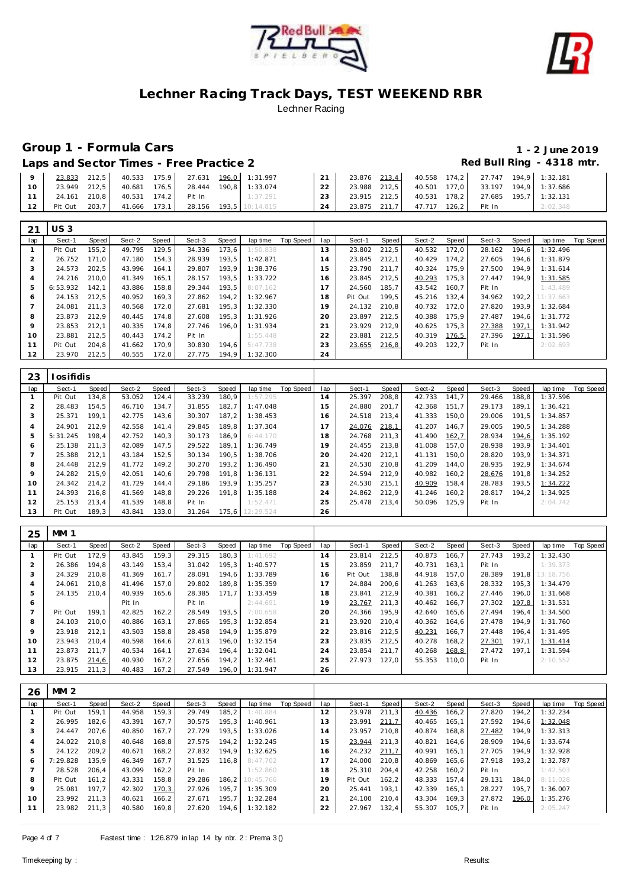



# **Group 1 - Formula Cars 1 - 2 June 2019**

Laps and Sector Times - Free Practice 2 *Red Bull Ring - 4318 mtr.* 

|                 | $21$ $11022$ |       |              |       |        |       |                 |    |              |              |       |                                    |                       |  |
|-----------------|--------------|-------|--------------|-------|--------|-------|-----------------|----|--------------|--------------|-------|------------------------------------|-----------------------|--|
|                 |              |       |              |       |        |       |                 |    |              |              |       |                                    |                       |  |
| - 12 L          | Pit Out      | 203,7 | 41.666       | 173.1 | 28.156 |       | 193.5 10:14.815 | 24 | 23.875 211.7 | 47.717 126.2 |       | Pit In                             | 2:02.348              |  |
| 11 <sup>1</sup> | 24.161 210,8 |       | 40.531       | 174,2 | Pit In |       | 1:37.291        | 23 | 23.915 212,5 | 40.531       | 178,2 |                                    | 27.685 195,7 1:32.131 |  |
| 10              | 23.949 212,5 |       | 40.681       | 176,5 | 28.444 | 190.8 | 1:33.074        | 22 | 23.988 212,5 | 40.501       | 177,0 |                                    | 33.197 194.9 1:37.686 |  |
| $\mathbf Q$     | 23.833 212,5 |       | 40.533 175,9 |       | 27.631 |       | 196,0 1:31.997  | 21 | 23.876 213.4 |              |       | 40.558 174.2 27.747 194.9 1:32.181 |                       |  |

| 21  | US 3     |       |        |       |        |       |          |           |     |         |       |        |       |        |       |           |           |
|-----|----------|-------|--------|-------|--------|-------|----------|-----------|-----|---------|-------|--------|-------|--------|-------|-----------|-----------|
| lap | Sect-1   | Speed | Sect-2 | Speed | Sect-3 | Speed | lap time | Top Speed | lap | Sect-1  | Speed | Sect-2 | Speed | Sect-3 | Speed | lap time  | Top Speed |
|     | Pit Out  | 155,2 | 49.795 | 129.5 | 34.336 | 173.6 | 1:50.838 |           | 13  | 23.802  | 212,5 | 40.532 | 172.0 | 28.162 | 194.6 | 1:32.496  |           |
|     | 26.752   | 171.0 | 47.180 | 154,3 | 28.939 | 193.5 | 1:42.871 |           | 14  | 23.845  | 212.1 | 40.429 | 174,2 | 27.605 | 194.6 | 1:31.879  |           |
| 3   | 24.573   | 202.5 | 43.996 | 164.1 | 29.807 | 193.9 | 1:38.376 |           | 15  | 23.790  | 211.7 | 40.324 | 175.9 | 27.500 | 194.9 | 1:31.614  |           |
| 4   | 24.216   | 210.0 | 41.349 | 165.1 | 28.157 | 193.5 | 1:33.722 |           | 16  | 23.845  | 212.5 | 40.293 | 175,3 | 27.447 | 194.9 | 1:31.585  |           |
| 5   | 6:53.932 | 142.1 | 43.886 | 158,8 | 29.344 | 193.5 | 8:07.162 |           | 17  | 24.560  | 185.7 | 43.542 | 160.7 | Pit In |       | 1:43.489  |           |
| 6   | 24.153   | 212.5 | 40.952 | 169,3 | 27.862 | 194.2 | 1:32.967 |           | 18  | Pit Out | 199.5 | 45.216 | 132.4 | 34.962 | 192,2 | 11:37.663 |           |
|     | 24.081   | 211.3 | 40.568 | 172.0 | 27.681 | 195.3 | 1:32.330 |           | 19  | 24.132  | 210.8 | 40.732 | 172.0 | 27.820 | 193.9 | 1:32.684  |           |
| 8   | 23.873   | 212.9 | 40.445 | 174.8 | 27.608 | 195.3 | 1:31.926 |           | 20  | 23.897  | 212.5 | 40.388 | 175.9 | 27.487 | 194.6 | 1:31.772  |           |
| 9   | 23.853   | 212.1 | 40.335 | 174.8 | 27.746 | 196.0 | 1:31.934 |           | 21  | 23.929  | 212.9 | 40.625 | 175,3 | 27.388 | 197,1 | 1:31.942  |           |
| 10  | 23.881   | 212.5 | 40.443 | 174,2 | Pit In |       | 1:55.448 |           | 22  | 23.881  | 212,5 | 40.319 | 176,5 | 27.396 | 197,1 | 1:31.596  |           |
| 11  | Pit Out  | 204.8 | 41.662 | 170.9 | 30.830 | 194.6 | 5:47.738 |           | 23  | 23.655  | 216,8 | 49.203 | 122.7 | Pit In |       | 2:02.693  |           |
| 12  | 23.970   | 212,5 | 40.555 | 172,0 | 27.775 | 194.9 | 1:32.300 |           | 24  |         |       |        |       |        |       |           |           |

| 23             | l osifidis |       |        |       |        |       |                 |           |     |        |       |        |       |        |       |          |           |
|----------------|------------|-------|--------|-------|--------|-------|-----------------|-----------|-----|--------|-------|--------|-------|--------|-------|----------|-----------|
| lap            | Sect-1     | Speed | Sect-2 | Speed | Sect-3 | Speed | lap time        | Top Speed | lap | Sect-1 | Speed | Sect-2 | Speed | Sect-3 | Speed | lap time | Top Speed |
|                | Pit Out    | 134.8 | 53.052 | 124,4 | 33.239 | 180,9 | 1:57.295        |           | 14  | 25.397 | 208,8 | 42.733 | 141.7 | 29.466 | 188.8 | 1:37.596 |           |
| $\overline{2}$ | 28.483     | 154.5 | 46.710 | 134.7 | 31.855 | 182,7 | 1:47.048        |           | 15  | 24.880 | 201.7 | 42.368 | 151.7 | 29.173 | 189.1 | 1:36.421 |           |
| 3              | 25.371     | 199.1 | 42.775 | 143,6 | 30.307 | 187,2 | 1:38.453        |           | 16  | 24.518 | 213.4 | 41.333 | 150.0 | 29.006 | 191,5 | 1:34.857 |           |
| $\overline{4}$ | 24.901     | 212.9 | 42.558 | 141,4 | 29.845 | 189,8 | 1:37.304        |           | 17  | 24.076 | 218,1 | 41.207 | 146.7 | 29.005 | 190.5 | 1:34.288 |           |
| 5              | 5:31.245   | 198.4 | 42.752 | 140,3 | 30.173 | 186.9 | 6:44.170        |           | 18  | 24.768 | 211.3 | 41.490 | 162,7 | 28.934 | 194,6 | 1:35.192 |           |
| 6              | 25.138     | 211.3 | 42.089 | 147.5 | 29.522 | 189.7 | 1:36.749        |           | 19  | 24.455 | 213.8 | 41.008 | 157.0 | 28.938 | 193.9 | 1:34.401 |           |
|                | 25.388     | 212.1 | 43.184 | 152,5 | 30.134 | 190.5 | 1:38.706        |           | 20  | 24.420 | 212.1 | 41.131 | 150.0 | 28.820 | 193.9 | 1:34.371 |           |
| 8              | 24.448     | 212.9 | 41.772 | 149,2 | 30.270 | 193,2 | 1:36.490        |           | 21  | 24.530 | 210.8 | 41.209 | 144.0 | 28.935 | 192.9 | 1:34.674 |           |
| 9              | 24.282     | 215.9 | 42.051 | 140,6 | 29.798 | 191,8 | 1:36.131        |           | 22  | 24.594 | 212,9 | 40.982 | 160,2 | 28.676 | 191,8 | 1:34.252 |           |
| 10             | 24.342     | 214.2 | 41.729 | 144.4 | 29.186 | 193.9 | 1:35.257        |           | 23  | 24.530 | 215.1 | 40.909 | 158.4 | 28.783 | 193.5 | 1:34.222 |           |
| 11             | 24.393     | 216.8 | 41.569 | 148,8 | 29.226 | 191,8 | 1:35.188        |           | 24  | 24.862 | 212.9 | 41.246 | 160,2 | 28.817 | 194,2 | 1:34.925 |           |
| 12             | 25.153     | 213.4 | 41.539 | 148,8 | Pit In |       | 1:52.471        |           | 25  | 25.478 | 213,4 | 50.096 | 125,9 | Pit In |       | 2:04.742 |           |
| 13             | Pit Out    | 189,3 | 43.841 | 133,0 | 31.264 |       | 175.6 12:29.524 |           | 26  |        |       |        |       |        |       |          |           |

| 25  | <b>MM 1</b> |       |        |        |        |       |          |           |     |         |       |        |       |        |       |           |           |
|-----|-------------|-------|--------|--------|--------|-------|----------|-----------|-----|---------|-------|--------|-------|--------|-------|-----------|-----------|
| lap | Sect-1      | Speed | Sect-2 | Speed  | Sect-3 | Speed | lap time | Top Speed | lap | Sect-1  | Speed | Sect-2 | Speed | Sect-3 | Speed | lap time  | Top Speed |
|     | Pit Out     | 172.9 | 43.845 | 159.3  | 29.315 | 180.3 | 1:41.692 |           | 14  | 23.814  | 212.5 | 40.873 | 166.7 | 27.743 | 193.2 | 1:32.430  |           |
|     | 26.386      | 194.8 | 43.149 | 153,4  | 31.042 | 195.3 | 1:40.577 |           | 15  | 23.859  | 211.7 | 40.731 | 163.1 | Pit In |       | 1:39.373  |           |
| 3   | 24.329      | 210,8 | 41.369 | 161.7  | 28.091 | 194.6 | 1:33.789 |           | 16  | Pit Out | 138.8 | 44.918 | 157.0 | 28.389 | 191.8 | 13:18.756 |           |
| 4   | 24.061      | 210.8 | 41.496 | 157.0  | 29.802 | 189.8 | 1:35.359 |           | 17  | 24.884  | 200.6 | 41.263 | 163.6 | 28.332 | 195.3 | 1:34.479  |           |
| 5   | 24.135      | 210.4 | 40.939 | 165.6  | 28.385 | 171.7 | 1:33.459 |           | 18  | 23.841  | 212.9 | 40.381 | 166,2 | 27.446 | 196.0 | 1:31.668  |           |
| 6   |             |       | Pit In |        | Pit In |       | 2:44.691 |           | 19  | 23.767  | 211,3 | 40.462 | 166.7 | 27.302 | 197,8 | 1:31.531  |           |
|     | Pit Out     | 199.1 | 42.825 | 162, 2 | 28.549 | 193.5 | 7:00.658 |           | 20  | 24.366  | 195.9 | 42.640 | 165.6 | 27.494 | 196.4 | 1:34.500  |           |
| 8   | 24.103      | 210.0 | 40.886 | 163.1  | 27.865 | 195.3 | 1:32.854 |           | 21  | 23.920  | 210.4 | 40.362 | 164.6 | 27.478 | 194.9 | 1:31.760  |           |
| 9   | 23.918      | 212.1 | 43.503 | 158.8  | 28.458 | 194.9 | 1:35.879 |           | 22  | 23.816  | 212.5 | 40.231 | 166.7 | 27.448 | 196.4 | 1:31.495  |           |
| 10  | 23.943      | 210.4 | 40.598 | 164.6  | 27.613 | 196.0 | 1:32.154 |           | 23  | 23.835  | 212.5 | 40.278 | 168.2 | 27.301 | 197.1 | 1:31.414  |           |
| 11  | 23.873      | 211.7 | 40.534 | 164.1  | 27.634 | 196.4 | 1:32.041 |           | 24  | 23.854  | 211.7 | 40.268 | 168,8 | 27.472 | 197,1 | 1:31.594  |           |
| 12  | 23.875      | 214,6 | 40.930 | 167,2  | 27.656 | 194.2 | 1:32.461 |           | 25  | 27.973  | 127,0 | 55.353 | 110,0 | Pit In |       | 2:10.552  |           |
| 13  | 23.915      | 211.3 | 40.483 | 167,2  | 27.549 | 196.0 | 1:31.947 |           | 26  |         |       |        |       |        |       |           |           |

| 26             | MM <sub>2</sub> |       |        |       |        |        |           |           |     |         |        |        |       |        |       |          |           |
|----------------|-----------------|-------|--------|-------|--------|--------|-----------|-----------|-----|---------|--------|--------|-------|--------|-------|----------|-----------|
| lap            | Sect-1          | Speed | Sect-2 | Speed | Sect-3 | Speed  | lap time  | Top Speed | lap | Sect-1  | Speed  | Sect-2 | Speed | Sect-3 | Speed | lap time | Top Speed |
|                | Pit Out         | 159.1 | 44.958 | 159,3 | 29.749 | 185,2  | 1:40.884  |           | 12  | 23.978  | 211.3  | 40.436 | 166,2 | 27.820 | 194,2 | 1:32.234 |           |
|                | 26.995          | 182.6 | 43.391 | 167.7 | 30.575 | 195,3  | 1:40.961  |           | 13  | 23.991  | 211,7  | 40.465 | 165,1 | 27.592 | 194,6 | 1:32.048 |           |
| 3              | 24.447          | 207,6 | 40.850 | 167,7 | 27.729 | 193,5  | 1:33.026  |           | 14  | 23.957  | 210,8  | 40.874 | 168,8 | 27.482 | 194,9 | 1:32.313 |           |
| $\overline{a}$ | 24.022          | 210.8 | 40.648 | 168,8 | 27.575 | 194,2  | 1:32.245  |           | 15  | 23.944  | 211,3  | 40.821 | 164,6 | 28.909 | 194.6 | 1:33.674 |           |
| 5              | 24.122          | 209,2 | 40.671 | 168,2 | 27.832 | 194,9  | 1:32.625  |           | 16  | 24.232  | 211,7  | 40.991 | 165,1 | 27.705 | 194.9 | 1:32.928 |           |
| 6              | 7:29.828        | 135.9 | 46.349 | 167.7 | 31.525 | 116.8  | 8:47.702  |           | 17  | 24.000  | 210.8  | 40.869 | 165,6 | 27.918 | 193,2 | 1:32.787 |           |
|                | 28.528          | 206,4 | 43.099 | 162,2 | Pit In |        | 1:52.860  |           | 18  | 25.310  | 204,4  | 42.258 | 160,2 | Pit In |       | 1:42.503 |           |
| 8              | Pit Out         | 161,2 | 43.331 | 158,8 | 29.286 | 186, 2 | 10:45.766 |           | 19  | Pit Out | 162, 2 | 48.333 | 157,4 | 29.131 | 184,0 | 8:11.028 |           |
| $\circ$        | 25.081          | 197.7 | 42.302 | 170,3 | 27.926 | 195.7  | 1:35.309  |           | 20  | 25.441  | 193.1  | 42.339 | 165.1 | 28.227 | 195.7 | 1:36.007 |           |
| 10             | 23.992          | 211.3 | 40.621 | 166,2 | 27.671 | 195.7  | 1:32.284  |           | 21  | 24.100  | 210.4  | 43.304 | 169,3 | 27.872 | 196,0 | 1:35.276 |           |
| 11             | 23.982          | 211,3 | 40.580 | 169,8 | 27.620 | 194,6  | 1:32.182  |           | 22  | 27.967  | 132,4  | 55.307 | 105,7 | Pit In |       | 2:05.247 |           |
|                |                 |       |        |       |        |        |           |           |     |         |        |        |       |        |       |          |           |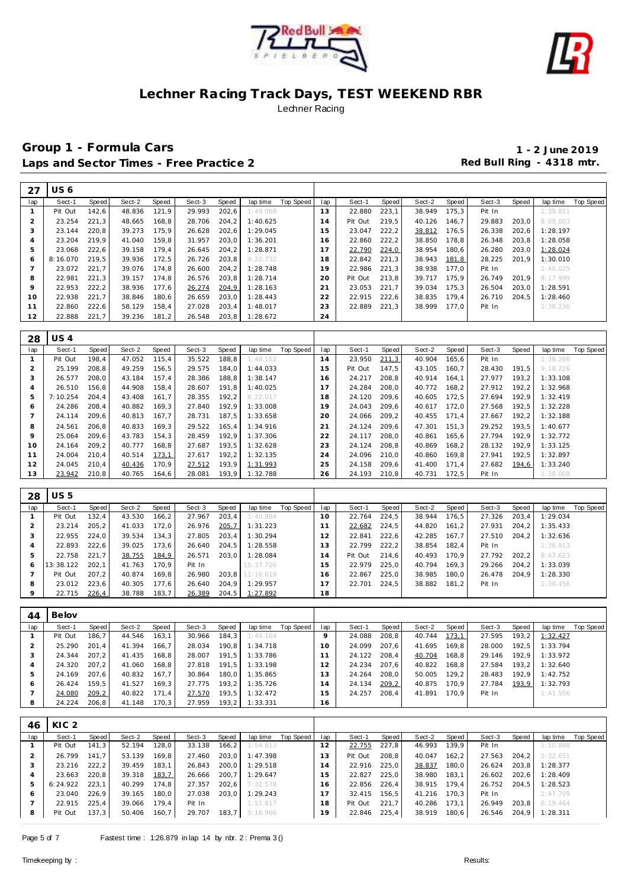



| 27  | US 6             |       |        |       |        |        |          |           |     |         |       |        |       |        |       |          |           |
|-----|------------------|-------|--------|-------|--------|--------|----------|-----------|-----|---------|-------|--------|-------|--------|-------|----------|-----------|
| lap | Sect-1           | Speed | Sect-2 | Speed | Sect-3 | Speed  | lap time | Top Speed | lap | Sect-1  | Speed | Sect-2 | Speed | Sect-3 | Speed | lap time | Top Speed |
|     | Pit Out          | 142,6 | 48.836 | 121.9 | 29.993 | 202,6  | 1:49.069 |           | 13  | 22.880  | 223,1 | 38.949 | 175.3 | Pit In |       | 1:39.811 |           |
| 2   | 23.254           | 221,3 | 48.665 | 168,8 | 28.706 | 204, 2 | 1:40.625 |           | 14  | Pit Out | 219,5 | 40.126 | 146.7 | 29.883 | 203,0 | 8:09.003 |           |
| 3   | 23.144           | 220,8 | 39.273 | 175,9 | 26.628 | 202,6  | 1:29.045 |           | 15  | 23.047  | 222,2 | 38.812 | 176,5 | 26.338 | 202,6 | 1:28.197 |           |
| 4   | 23.204           | 219,9 | 41.040 | 159,8 | 31.957 | 203,0  | 1:36.201 |           | 16  | 22.860  | 222,2 | 38.850 | 178,8 | 26.348 | 203,8 | 1:28.058 |           |
| 5   | 23.068           | 222.6 | 39.158 | 179.4 | 26.645 | 204.2  | 1:28.871 |           |     | 22.790  | 224,0 | 38.954 | 180,6 | 26.280 | 203,0 | 1:28.024 |           |
| 6   | 8:16.070         | 219,5 | 39.936 | 172,5 | 26.726 | 203,8  | 9:22.732 |           | 18  | 22.842  | 221,3 | 38.943 | 181,8 | 28.225 | 201,9 | 1:30.010 |           |
|     | 23.072           | 221,7 | 39.076 | 174,8 | 26.600 | 204, 2 | 1:28.748 |           | 19  | 22.986  | 221,3 | 38.938 | 177,0 | Pit In |       | 1:40.025 |           |
| 8   | 22.981           | 221,3 | 39.157 | 174,8 | 26.576 | 203,8  | 1:28.714 |           | 20  | Pit Out | 213,8 | 39.717 | 175,9 | 26.749 | 201,9 | 8:17.999 |           |
| 9   | 22.953           | 222,2 | 38.936 | 177.6 | 26.274 | 204.9  | 1:28.163 |           | 21  | 23.053  | 221,7 | 39.034 | 175,3 | 26.504 | 203,0 | 1:28.591 |           |
| 10  | 22.938           | 221.7 | 38.846 | 180,6 | 26.659 | 203,0  | 1:28.443 |           | 22  | 22.915  | 222,6 | 38.835 | 179.4 | 26.710 | 204,5 | 1:28.460 |           |
| 11  | 22.860           | 222,6 | 58.129 | 158,4 | 27.028 | 203,4  | 1:48.017 |           | 23  | 22.889  | 221,3 | 38.999 | 177.0 | Pit In |       | 1:38.236 |           |
| 12  | 22.888           | 221.7 | 39.236 | 181,2 | 26.548 | 203,8  | 1:28.672 |           | 24  |         |       |        |       |        |       |          |           |
|     |                  |       |        |       |        |        |          |           |     |         |       |        |       |        |       |          |           |
| ററ  | 11C <sub>A</sub> |       |        |       |        |        |          |           |     |         |       |        |       |        |       |          |           |

| 28      | US 4     |       |        |       |        |       |          |           |     |         |       |        |       |        |       |          |           |
|---------|----------|-------|--------|-------|--------|-------|----------|-----------|-----|---------|-------|--------|-------|--------|-------|----------|-----------|
| lap     | Sect-1   | Speed | Sect-2 | Speed | Sect-3 | Speed | lap time | Top Speed | lap | Sect-1  | Speed | Sect-2 | Speed | Sect-3 | Speed | lap time | Top Speed |
|         | Pit Out  | 198.4 | 47.052 | 115,4 | 35.522 | 188,8 | 1:48.152 |           | 14  | 23.950  | 211,3 | 40.904 | 165,6 | Pit In |       | 1:38.266 |           |
|         | 25.199   | 208.8 | 49.259 | 156.5 | 29.575 | 184.0 | 1:44.033 |           | 15  | Pit Out | 147.5 | 43.105 | 160.7 | 28.430 | 191.5 | 9:18.226 |           |
| 3       | 26.577   | 208.0 | 43.184 | 157.4 | 28.386 | 188.8 | 1:38.147 |           | 16  | 24.217  | 208.8 | 40.914 | 164.1 | 27.977 | 193.2 | 1:33.108 |           |
|         | 26.510   | 156,8 | 44.908 | 158,4 | 28.607 | 191.8 | 1:40.025 |           |     | 24.284  | 208,0 | 40.772 | 168,2 | 27.912 | 192.2 | 1:32.968 |           |
| 5       | 7:10.254 | 204.4 | 43.408 | 161.7 | 28.355 | 192.2 | 8:22.017 |           | 18  | 24.120  | 209.6 | 40.605 | 172.5 | 27.694 | 192.9 | 1:32.419 |           |
| Ô       | 24.286   | 208.4 | 40.882 | 169,3 | 27.840 | 192.9 | 1:33.008 |           | 19  | 24.043  | 209,6 | 40.617 | 172.0 | 27.568 | 192.5 | 1:32.228 |           |
|         | 24.114   | 209,6 | 40.813 | 167.7 | 28.731 | 187.5 | 1:33.658 |           | 20  | 24.066  | 209,2 | 40.455 | 171.4 | 27.667 | 192,2 | 1:32.188 |           |
| 8       | 24.561   | 206,8 | 40.833 | 169,3 | 29.522 | 165,4 | 1:34.916 |           | 21  | 24.124  | 209.6 | 47.301 | 151.3 | 29.252 | 193.5 | 1:40.677 |           |
| $\circ$ | 25.064   | 209.6 | 43.783 | 154.3 | 28.459 | 192.9 | 1:37.306 |           | 22  | 24.117  | 208.0 | 40.861 | 165.6 | 27.794 | 192.9 | 1:32.772 |           |
| 10      | 24.164   | 209,2 | 40.777 | 168.8 | 27.687 | 193.5 | 1:32.628 |           | 23  | 24.124  | 208,8 | 40.869 | 168,2 | 28.132 | 192.9 | 1:33.125 |           |
| 11      | 24.004   | 210.4 | 40.514 | 173,1 | 27.617 | 192,2 | 1:32.135 |           | 24  | 24.096  | 210.0 | 40.860 | 169.8 | 27.941 | 192,5 | 1:32.897 |           |
| 12      | 24.045   | 210.4 | 40.436 | 170.9 | 27.512 | 193.9 | 1:31.993 |           | 25  | 24.158  | 209.6 | 41.400 | 171.4 | 27.682 | 194,6 | 1:33.240 |           |
| 13      | 23.942   | 210,8 | 40.765 | 164,6 | 28.081 | 193.9 | 1:32.788 |           | 26  | 24.193  | 210.8 | 40.731 | 172,5 | Pit In |       | 1:38.008 |           |

| 28      | US 5      |       |        |       |        |       |           |           |     |         |       |        |       |        |        |          |           |
|---------|-----------|-------|--------|-------|--------|-------|-----------|-----------|-----|---------|-------|--------|-------|--------|--------|----------|-----------|
| lap     | Sect-1    | Speed | Sect-2 | Speed | Sect-3 | Speed | lap time  | Top Speed | lap | Sect-1  | Speed | Sect-2 | Speed | Sect-3 | Speed  | lap time | Top Speed |
|         | Pit Out   | 132.4 | 43.530 | 166.2 | 27.967 | 203.4 | 1:40.884  |           | 10  | 22.764  | 224.5 | 38.944 | 176.5 | 27.326 | 203,4  | 1:29.034 |           |
|         | 23.214    | 205.2 | 41.033 | 172.0 | 26.976 | 205,7 | 1:31.223  |           |     | 22.682  | 224,5 | 44.820 | 161.2 | 27.931 | 204, 2 | 1:35.433 |           |
|         | 22.955    | 224.0 | 39.534 | 134.3 | 27.805 | 203.4 | 1:30.294  |           | 12  | 22.841  | 222.6 | 42.285 | 167.7 | 27.510 | 204.2  | 1:32.636 |           |
|         | 22.893    | 222.6 | 39.025 | 173.6 | 26.640 | 204.5 | 1:28.558  |           | 3   | 22.799  | 222,2 | 38.854 | 182.4 | Pit In |        | 1:36.913 |           |
|         | 22.758    | 221.7 | 38.755 | 184,9 | 26.571 | 203.0 | 1:28.084  |           | 14  | Pit Out | 214.6 | 40.493 | 170.9 | 27.792 | 202.2  | 8:47.623 |           |
| c       | 13:38.122 | 202.1 | 41.763 | 170.9 | Pit In |       | 15:37.726 |           | 15  | 22.979  | 225.0 | 40.794 | 169.3 | 29.266 | 204,2  | 1:33.039 |           |
|         | Pit Out   | 207.2 | 40.874 | 169.8 | 26.980 | 203.8 | 11:16.618 |           | 16  | 22.867  | 225.0 | 38.985 | 180.0 | 26.478 | 204.9  | 1:28.330 |           |
| 8       | 23.012    | 223.6 | 40.305 | 177.6 | 26.640 | 204.9 | 1:29.957  |           |     | 22.701  | 224.5 | 38.882 | 181.2 | Pit In |        | 1:38.456 |           |
| $\circ$ | 22.715    | 226,4 | 38.788 | 183.7 | 26.389 | 204.5 | 1:27.892  |           | 18  |         |       |        |       |        |        |          |           |

| 44  | Belov   |       |        |       |        |       |          |           |     |        |         |        |       |        |       |          |           |
|-----|---------|-------|--------|-------|--------|-------|----------|-----------|-----|--------|---------|--------|-------|--------|-------|----------|-----------|
| lap | Sect-1  | Speed | Sect-2 | Speed | Sect-3 | Speed | lap time | Top Speed | lap | Sect-1 | Speed   | Sect-2 | Speed | Sect-3 | Speed | lap time | Top Speed |
|     | Pit Out | 186.7 | 44.546 | 163,1 | 30.966 | 184.3 | 1:44.164 |           | Q   | 24.088 | 208.8   | 40.744 | 173,1 | 27.595 | 193.2 | 1:32.427 |           |
|     | 25.290  | 201.4 | 41.394 | 166.7 | 28.034 | 190.8 | 1:34.718 |           | 10  | 24.099 | $207.6$ | 41.695 | 169.8 | 28.000 | 192.5 | 1:33.794 |           |
|     | 24.344  | 207.2 | 41.435 | 168.8 | 28.007 | 191.5 | 1:33.786 |           |     | 24.122 | 208.4   | 40.704 | 168.8 | 29.146 | 192.9 | 1:33.972 |           |
| 4   | 24.320  | 207.2 | 41.060 | 168.8 | 27.818 | 191.5 | 1:33.198 |           |     | 24.234 | 207.6   | 40.822 | 168.8 | 27.584 | 193.2 | 1:32.640 |           |
| 5   | 24.169  | 207.6 | 40.832 | 167.7 | 30.864 | 180.0 | 1:35.865 |           | 13  | 24.264 | 208.0   | 50.005 | 129.2 | 28.483 | 192.9 | 1:42.752 |           |
| 6   | 26.424  | 159.5 | 41.527 | 169.3 | 27.775 | 193.2 | 1:35.726 |           | l 4 | 24.134 | 209,2   | 40.875 | 170.9 | 27.784 | 193.9 | 1:32.793 |           |
|     | 24.080  | 209,2 | 40.822 | 171.4 | 27.570 | 193.5 | 1:32.472 |           | 15  | 24.257 | 208.4   | 41.891 | 170.9 | Pit In |       | 1:41.556 |           |
| 8   | 24.224  | 206.8 | 41.148 | 170.3 | 27.959 | 193.2 | 1:33.331 |           | 16  |        |         |        |       |        |       |          |           |

| 46  | KIC <sub>2</sub> |       |        |       |        |       |                |                    |     |              |       |        |       |        |       |                |           |
|-----|------------------|-------|--------|-------|--------|-------|----------------|--------------------|-----|--------------|-------|--------|-------|--------|-------|----------------|-----------|
| lap | Sect-1           | Speed | Sect-2 | Speed | Sect-3 | Speed |                | lap time Top Speed | lap | Sect-1       | Speed | Sect-2 | Speed | Sect-3 | Speed | lap time       | Top Speed |
|     | Pit Out          | 141,3 | 52.194 | 128,0 | 33.138 | 166,2 | 1:54.813       |                    | 12  | 22.755       | 227,8 | 46.993 | 139.9 | Pit In |       | 1:50.888       |           |
|     | 26.799           | 141.7 | 53.139 | 169.8 | 27.460 | 203.0 | 1:47.398       |                    | 13  | Pit Out      | 208.8 | 40.047 | 162.2 | 27.563 | 204.2 | 5:32.651       |           |
|     | 23.216           | 222.2 | 39.459 | 183.1 | 26.843 | 200.0 | 1:29.518       |                    | 14  | 22.916       | 225.0 | 38.837 | 180,0 | 26.624 | 203,8 | 1:28.377       |           |
|     | 23.663           | 220.8 | 39.318 | 183,7 | 26.666 | 200,7 | 1:29.647       |                    | 15  | 22.827       | 225.0 | 38.980 | 183.1 | 26.602 | 202,6 | 1:28.409       |           |
| 5   | 6:24.922         | 223.1 | 40.299 | 174,8 | 27.357 | 202.6 | 7:32.578       |                    | 16  | 22.856       | 226.4 | 38.915 | 179.4 | 26.752 |       | 204,5 1:28.523 |           |
| 6   | 23.040           | 226.9 | 39.165 | 180,0 | 27.038 | 203.0 | 1:29.243       |                    | 17  | 32.415 156,5 |       | 41.216 | 170.3 | Pit In |       | 1:47.709       |           |
|     | 22.915           | 225.4 | 39.066 | 179.4 | Pit In |       | 1:51.817       |                    | 18  | Pit Out      | 221.7 | 40.286 | 173.1 | 26.949 | 203.8 | 6:19.464       |           |
| 8   | Pit Out          | 137.3 | 50.406 | 160,7 | 29.707 |       | 183,7 5:16.966 |                    | 19  | 22.846       | 225.4 | 38.919 | 180.6 | 26.546 |       | 204,9 1:28.311 |           |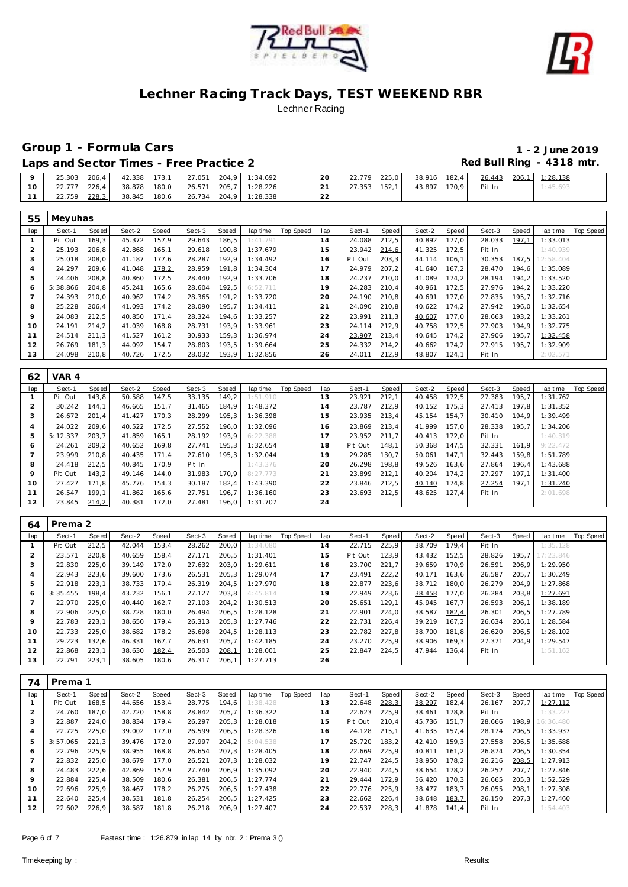



# **Group 1 - Formula Cars 1 - 2 June 2019**

Laps and Sector Times - Free Practice 2 **Access 2 Red Bull Ring - 4318 mtr.** 

| 25.303 206.4 42.338 173.1 27.051 204.9 1:34.692 |                                                 |                             |  | 20 <sub>1</sub> | 22.779 225.0 | 38.916 182.4              | 26.443 206.1 1:28.138 |          |
|-------------------------------------------------|-------------------------------------------------|-----------------------------|--|-----------------|--------------|---------------------------|-----------------------|----------|
|                                                 | 22.777 226.4 38.878 180.0 26.571 205.7 1:28.226 |                             |  |                 |              | 27.353 152.1 43.897 170.9 | Pit In                | 1:45.693 |
| 22.759 228.3                                    | 38.845                                          | 180.6 26.734 204.9 1:28.338 |  |                 |              |                           |                       |          |

| 55             | Meyuhas  |              |        |       |        |       |          |           |     |         |       |        |       |        |              |           |                  |
|----------------|----------|--------------|--------|-------|--------|-------|----------|-----------|-----|---------|-------|--------|-------|--------|--------------|-----------|------------------|
| lap            | Sect-1   | <b>Speed</b> | Sect-2 | Speed | Sect-3 | Speed | lap time | Top Speed | lap | Sect-1  | Speed | Sect-2 | Speed | Sect-3 | <b>Speed</b> | lap time  | <b>Top Speed</b> |
|                | Pit Out  | 169,3        | 45.372 | 157.9 | 29.643 | 186.5 | 1:41.791 |           | 14  | 24.088  | 212,5 | 40.892 | 177.0 | 28.033 | 197.1        | 1:33.013  |                  |
| $\overline{2}$ | 25.193   | 206.8        | 42.868 | 165,1 | 29.618 | 190.8 | 1:37.679 |           | 15  | 23.942  | 214,6 | 41.325 | 172.5 | Pit In |              | 1:40.939  |                  |
| 3              | 25.018   | 208,0        | 41.187 | 177.6 | 28.287 | 192,9 | 1:34.492 |           | 16  | Pit Out | 203,3 | 44.114 | 106.1 | 30.353 | 187,5        | 12:58.404 |                  |
| $\overline{A}$ | 24.297   | 209,6        | 41.048 | 178,2 | 28.959 | 191.8 | 1:34.304 |           | 17  | 24.979  | 207,2 | 41.640 | 167.2 | 28.470 | 194,6        | 1:35.089  |                  |
| 5              | 24.406   | 208,8        | 40.860 | 172,5 | 28.440 | 192,9 | 1:33.706 |           | 18  | 24.237  | 210,0 | 41.089 | 174,2 | 28.194 | 194,2        | 1:33.520  |                  |
| 6              | 5:38.866 | 204.8        | 45.241 | 165,6 | 28.604 | 192,5 | 6:52.711 |           | 19  | 24.283  | 210,4 | 40.961 | 172.5 | 27.976 | 194,2        | 1:33.220  |                  |
| $\overline{7}$ | 24.393   | 210.0        | 40.962 | 174,2 | 28.365 | 191.2 | 1:33.720 |           | 20  | 24.190  | 210.8 | 40.691 | 177.0 | 27.835 | 195.7        | 1:32.716  |                  |
| 8              | 25.228   | 206,4        | 41.093 | 174,2 | 28.090 | 195,7 | 1:34.411 |           | 21  | 24.090  | 210,8 | 40.622 | 174,2 | 27.942 | 196,0        | 1:32.654  |                  |
| 9              | 24.083   | 212.5        | 40.850 | 171,4 | 28.324 | 194.6 | 1:33.257 |           | 22  | 23.991  | 211,3 | 40.607 | 177.0 | 28.663 | 193,2        | 1:33.261  |                  |
| 10             | 24.191   | 214,2        | 41.039 | 168,8 | 28.731 | 193,9 | 1:33.961 |           | 23  | 24.114  | 212,9 | 40.758 | 172,5 | 27.903 | 194.9        | 1:32.775  |                  |
| 11             | 24.514   | 211,3        | 41.527 | 161,2 | 30.933 | 159,3 | 1:36.974 |           | 24  | 23.907  | 213,4 | 40.645 | 174,2 | 27.906 | 195,7        | 1:32.458  |                  |
| 12             | 26.769   | 181,3        | 44.092 | 154,7 | 28.803 | 193,5 | 1:39.664 |           | 25  | 24.332  | 214,2 | 40.662 | 174,2 | 27.915 | 195,7        | 1:32.909  |                  |
| 13             | 24.098   | 210,8        | 40.726 | 172,5 | 28.032 | 193,9 | 1:32.856 |           | 26  | 24.011  | 212,9 | 48.807 | 124,1 | Pit In |              | 2:02.571  |                  |
|                |          |              |        |       |        |       |          |           |     |         |       |        |       |        |              |           |                  |
| 62             | VAR 4    |              |        |       |        |       |          |           |     |         |       |        |       |        |              |           |                  |
| lap            | Sect-1   | Speed        | Sect-2 | Speed | Sect-3 | Speed | lap time | Top Speed | lap | Sect-1  | Speed | Sect-2 | Speed | Sect-3 | Speed        | lap time  | Top Speed        |
| -1             | Pit Out  | 143,8        | 50.588 | 147,5 | 33.135 | 149.2 | 1:51.910 |           | 13  | 23.921  | 212,1 | 40.458 | 172,5 | 27.383 | 195.7        | 1:31.762  |                  |
| $\overline{2}$ | 30.242   | 144,1        | 46.665 | 151,7 | 31.465 | 184,9 | 1:48.372 |           | 14  | 23.787  | 212,9 | 40.152 | 175,3 | 27.413 | 197,8        | 1:31.352  |                  |
| 3              | 26.672   | 201,4        | 41.427 | 170,3 | 28.299 | 195,3 | 1:36.398 |           | 15  | 23.935  | 213,4 | 45.154 | 154.7 | 30.410 | 194,9        | 1:39.499  |                  |
| $\overline{4}$ | 24.022   | 209,6        | 40.522 | 172,5 | 27.552 | 196.0 | 1:32.096 |           | 16  | 23.869  | 213,4 | 41.999 | 157.0 | 28.338 | 195.7        | 1:34.206  |                  |
| 5              | 5:12.337 | 203.7        | 41.859 | 165,1 | 28.192 | 193,9 | 6:22.388 |           | 17  | 23.952  | 211,7 | 40.413 | 172.0 | Pit In |              | 1:40.319  |                  |
| 6              | 24.261   | 209,2        | 40.652 | 169,8 | 27.741 | 195,3 | 1:32.654 |           | 18  | Pit Out | 148,1 | 50.368 | 147,5 | 32.331 | 161,9        | 9:22.472  |                  |
| $\overline{7}$ | 23.999   | 210,8        | 40.435 | 171,4 | 27.610 | 195,3 | 1:32.044 |           | 19  | 29.285  | 130,7 | 50.061 | 147,1 | 32.443 | 159,8        | 1:51.789  |                  |
| 8              | 24.418   | 212,5        | 40.845 | 170.9 | Pit In |       | 1:43.376 |           | 20  | 26.298  | 198.8 | 49.526 | 163.6 | 27.864 | 196.4        | 1:43.688  |                  |
| 9              | Pit Out  | 143,2        | 49.146 | 144.0 | 31.983 | 170,9 | 8:27.773 |           | 21  | 23.899  | 212,1 | 40.204 | 174,2 | 27.297 | 197.1        | 1:31.400  |                  |

| 64  | Prema 2  |       |        |       |        |        |          |           |     |         |       |        |       |        |       |           |           |
|-----|----------|-------|--------|-------|--------|--------|----------|-----------|-----|---------|-------|--------|-------|--------|-------|-----------|-----------|
| lap | Sect-1   | Speed | Sect-2 | Speed | Sect-3 | Speed  | lap time | Top Speed | lap | Sect-1  | Speed | Sect-2 | Speed | Sect-3 | Speed | lap time  | Top Speed |
|     | Pit Out  | 212.5 | 42.044 | 153,4 | 28.262 | 200.0  | 1:34.080 |           | 14  | 22.715  | 225,9 | 38.709 | 179.4 | Pit In |       | 1:35.128  |           |
|     | 23.571   | 220,8 | 40.659 | 158,4 | 27.171 | 206, 5 | 1:31.401 |           | 15  | Pit Out | 123,9 | 43.432 | 152,5 | 28.826 | 195,7 | 17:23.846 |           |
| 3   | 22.830   | 225.0 | 39.149 | 172.0 | 27.632 | 203.0  | 1:29.611 |           | 16  | 23.700  | 221.7 | 39.659 | 170.9 | 26.591 | 206.9 | 1:29.950  |           |
| 4   | 22.943   | 223,6 | 39.600 | 173,6 | 26.531 | 205, 3 | 1:29.074 |           | 17  | 23.491  | 222,2 | 40.171 | 163,6 | 26.587 | 205,7 | 1:30.249  |           |
| 5   | 22.918   | 223.1 | 38.733 | 179.4 | 26.319 | 204.5  | 1:27.970 |           | 18  | 22.877  | 223,6 | 38.712 | 180.0 | 26.279 | 204,9 | 1:27.868  |           |
| 6   | 3:35.455 | 198.4 | 43.232 | 156,1 | 27.127 | 203.8  | 4:45.814 |           | 19  | 22.949  | 223,6 | 38.458 | 177.0 | 26.284 | 203,8 | 1:27.691  |           |
|     | 22.970   | 225.0 | 40.440 | 162,7 | 27.103 | 204, 2 | 1:30.513 |           | 20  | 25.651  | 129,1 | 45.945 | 167.7 | 26.593 | 206,1 | 1:38.189  |           |
| 8   | 22.906   | 225.0 | 38.728 | 180,0 | 26.494 | 206, 5 | 1:28.128 |           | 21  | 22.901  | 224,0 | 38.587 | 182,4 | 26.301 | 206.5 | 1:27.789  |           |
| 9   | 22.783   | 223,1 | 38.650 | 179,4 | 26.313 | 205, 3 | 1:27.746 |           | 22  | 22.731  | 226,4 | 39.219 | 167,2 | 26.634 | 206,1 | 1:28.584  |           |
| 10  | 22.733   | 225.0 | 38.682 | 178,2 | 26.698 | 204.5  | 1:28.113 |           | 23  | 22.782  | 227,8 | 38.700 | 181.8 | 26.620 | 206.5 | 1:28.102  |           |
| 11  | 29.223   | 132,6 | 46.331 | 167,7 | 26.631 | 205,7  | 1:42.185 |           | 24  | 23.270  | 225,9 | 38.906 | 169,3 | 27.371 | 204,9 | 1:29.547  |           |
| 12  | 22.868   | 223.1 | 38.630 | 182,4 | 26.503 | 208,1  | 1:28.001 |           | 25  | 22.847  | 224,5 | 47.944 | 136,4 | Pit In |       | 1:51.162  |           |
| 13  | 22.791   | 223,1 | 38.605 | 180,6 | 26.317 | 206,1  | 1:27.713 |           | 26  |         |       |        |       |        |       |           |           |

| 74             | Prema 1  |       |        |       |        |       |          |           |     |         |       |        |       |        |       |           |           |
|----------------|----------|-------|--------|-------|--------|-------|----------|-----------|-----|---------|-------|--------|-------|--------|-------|-----------|-----------|
| lap            | Sect-1   | Speed | Sect-2 | Speed | Sect-3 | Speed | lap time | Top Speed | lap | Sect-1  | Speed | Sect-2 | Speed | Sect-3 | Speed | lap time  | Top Speed |
|                | Pit Out  | 168,5 | 44.656 | 153,4 | 28.775 | 194.6 | 1:38.428 |           | 13  | 22.648  | 228,3 | 38.297 | 182,4 | 26.167 | 207,7 | 1:27.112  |           |
| $\overline{2}$ | 24.760   | 187.0 | 42.720 | 158.8 | 28.842 | 205,7 | 1:36.322 |           | 14  | 22.623  | 225,9 | 38.461 | 178.8 | Pit In |       | 1:33.227  |           |
| 3              | 22.887   | 224.0 | 38.834 | 179.4 | 26.297 | 205.3 | 1:28.018 |           | 15  | Pit Out | 210.4 | 45.736 | 151.7 | 28.666 | 198.9 | 16:36.480 |           |
| 4              | 22.725   | 225.0 | 39.002 | 177,0 | 26.599 | 206,5 | 1:28.326 |           | 16  | 24.128  | 215,1 | 41.635 | 157.4 | 28.174 | 206,5 | 1:33.937  |           |
| 5              | 3:57.065 | 221.3 | 39.476 | 172,0 | 27.997 | 204.2 | 5:04.538 |           | 17  | 25.720  | 183,2 | 42.410 | 159,3 | 27.558 | 206,5 | 1:35.688  |           |
| 6              | 22.796   | 225.9 | 38.955 | 168,8 | 26.654 | 207.3 | 1:28.405 |           | 18  | 22.669  | 225,9 | 40.811 | 161,2 | 26.874 | 206,5 | 1:30.354  |           |
|                | 22.832   | 225.0 | 38.679 | 177,0 | 26.521 | 207.3 | 1:28.032 |           | 19  | 22.747  | 224,5 | 38.950 | 178,2 | 26.216 | 208,5 | 1:27.913  |           |
| 8              | 24.483   | 222.6 | 42.869 | 157.9 | 27.740 | 206.9 | 1:35.092 |           | 20  | 22.940  | 224,5 | 38.654 | 178,2 | 26.252 | 207.7 | 1:27.846  |           |
| 9              | 22.884   | 225.4 | 38.509 | 180.6 | 26.381 | 206.5 | 1:27.774 |           | 21  | 29.444  | 172.9 | 56.420 | 170.3 | 26.665 | 205.3 | 1:52.529  |           |
| 10             | 22.696   | 225.9 | 38.467 | 178,2 | 26.275 | 206,5 | 1:27.438 |           | 22  | 22.776  | 225,9 | 38.477 | 183,7 | 26.055 | 208,1 | 1:27.308  |           |
| 11             | 22.640   | 225.4 | 38.531 | 181.8 | 26.254 | 206.5 | 1:27.425 |           | 23  | 22.662  | 226,4 | 38.648 | 183,7 | 26.150 | 207.3 | 1:27.460  |           |
| 12             | 22.602   | 226,9 | 38.587 | 181,8 | 26.218 | 206,9 | 1:27.407 |           | 24  | 22.537  | 228,3 | 41.878 | 141,4 | Pit In |       | 1:54.403  |           |

**49.146** 144,0 31.983 170,9<br>45.776 154,3 30.187 182,4

 27.427 171,8 45.776 154,3 30.187 182,4 1:43.390 26.547 199,1 41.862 165,6 27.751 196,7 1:36.160 23.845 214,2 40.381 172,0 27.481 196,0 1:31.707 **21.297 197,1**<br> **21.297 197,1**<br> **21.254 197,1** 

22 23.846 212,5 40.140 174,8 27.254 197,1 1:31.240 **23.693 212,5 48.625 127,4 Pit In 2:01.698**